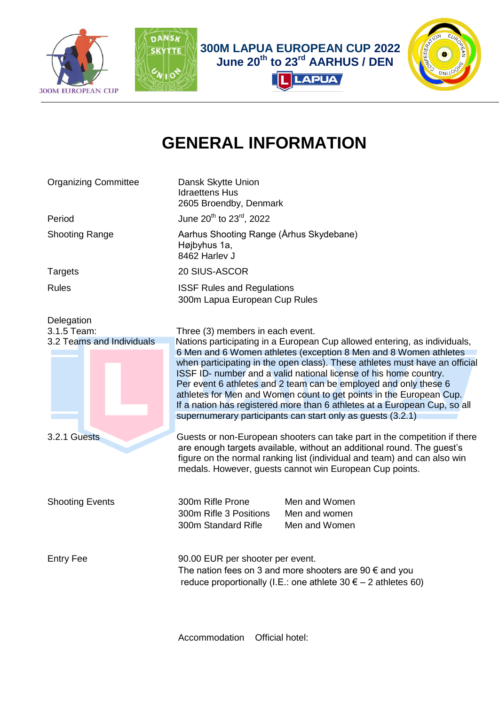



 **300M LAPUA EUROPEAN CUP 2022 June 20th to 23rd AARHUS / DEN**

**LAPUA** 



## **GENERAL INFORMATION**

Organizing Committee Dansk Skytte Union Idraettens Hus 2605 Broendby, Denmark Period  $J$ une 20<sup>th</sup> to 23<sup>rd</sup>, 2022 Shooting Range **Aarhus Shooting Range (Århus Skydebane)** Højbyhus 1a, 8462 Harlev J Targets 20 SIUS-ASCOR Rules **ISSF** Rules and Regulations 300m Lapua European Cup Rules Delegation 3.1.5 Team: Three (3) members in each event. 3.2 Teams and IndividualsNations participating in a European Cup allowed entering, as individuals, 6 Men and 6 Women athletes (exception 8 Men and 8 Women athletes when participating in the open class). These athletes must have an official ISSF ID- number and a valid national license of his home country. Per event 6 athletes and 2 team can be employed and only these 6 athletes for Men and Women count to get points in the European Cup. If a nation has registered more than 6 athletes at a European Cup, so all supernumerary participants can start only as guests (3.2.1) 3.2.1 GuestsGuests or non-European shooters can take part in the competition if there are enough targets available, without an additional round. The guest's figure on the normal ranking list (individual and team) and can also win medals. However, guests cannot win European Cup points. Shooting Events 300m Rifle Prone Men and Women 300m Rifle 3 Positions Men and women 300m Standard Rifle Men and Women Entry Fee 90.00 EUR per shooter per event. The nation fees on 3 and more shooters are 90  $\epsilon$  and you reduce proportionally (I.E.: one athlete  $30 \epsilon - 2$  athletes 60)

Accommodation Official hotel: